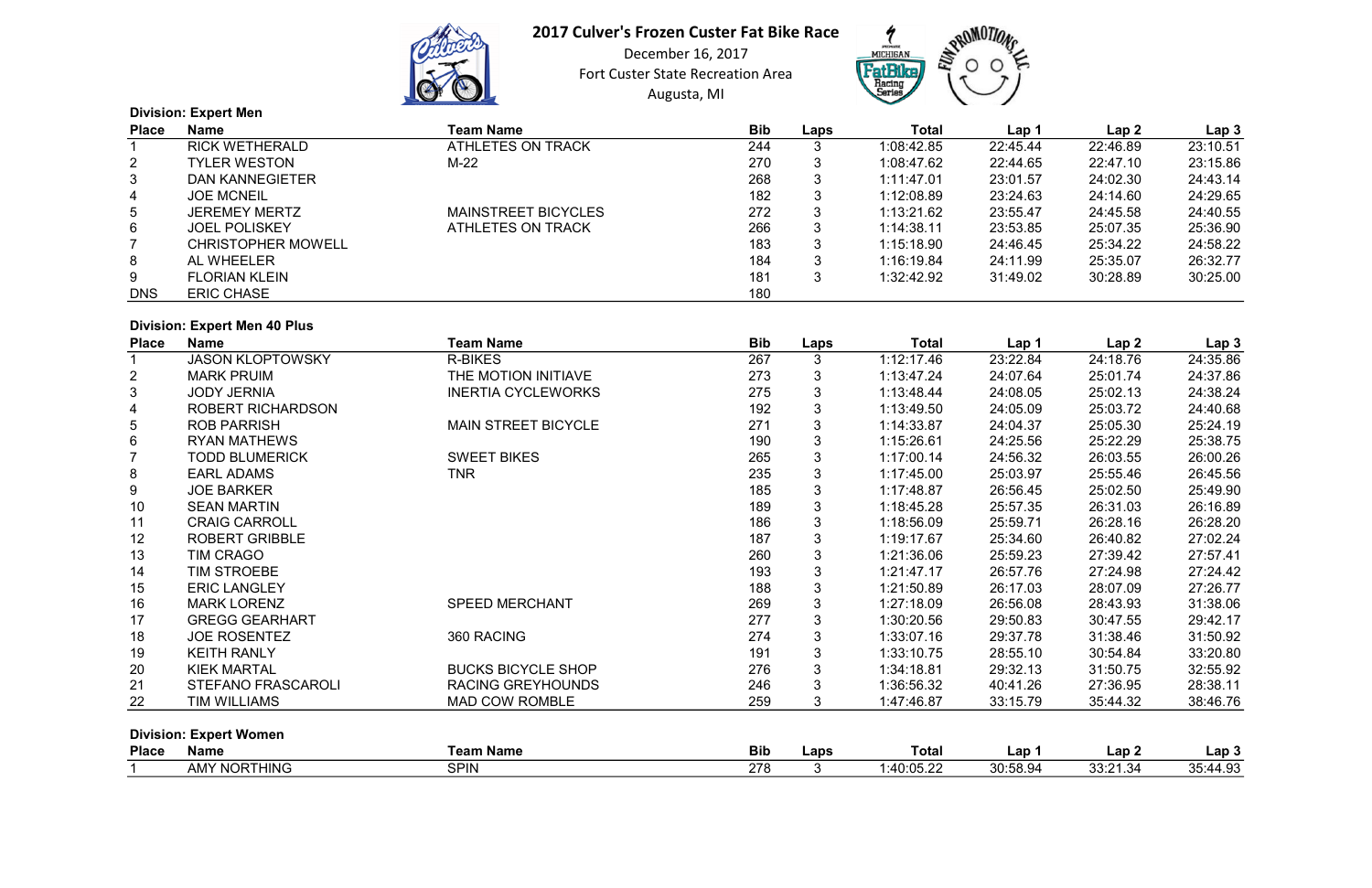

# 2017 Culver's Frozen Custer Fat Bike Race

Augusta, MI December 16, 2017 Fort Custer State Recreation Area



|                 | <b>Division: Expert Men</b> |                            |            |      |            |          |          |                  |
|-----------------|-----------------------------|----------------------------|------------|------|------------|----------|----------|------------------|
| <b>Place</b>    | Name                        | <b>Team Name</b>           | <b>Bib</b> | Laps | Total      | Lap 1    | Lap2     | Lap <sub>3</sub> |
|                 | <b>RICK WETHERALD</b>       | ATHLETES ON TRACK          | 244        | 3    | 1:08:42.85 | 22:45.44 | 22:46.89 | 23:10.51         |
| $\overline{2}$  | <b>TYLER WESTON</b>         | M-22                       | 270        | 3    | 1:08:47.62 | 22:44.65 | 22:47.10 | 23:15.86         |
| $\mathbf{3}$    | <b>DAN KANNEGIETER</b>      |                            | 268        | 3    | 1:11:47.01 | 23:01.57 | 24:02.30 | 24:43.14         |
| $\overline{4}$  | <b>JOE MCNEIL</b>           |                            | 182        | 3    | 1:12:08.89 | 23:24.63 | 24:14.60 | 24:29.65         |
| $5\overline{)}$ | <b>JEREMEY MERTZ</b>        | <b>MAINSTREET BICYCLES</b> | 272        | 3    | 1:13:21.62 | 23:55.47 | 24:45.58 | 24:40.55         |
| $6\phantom{.}$  | <b>JOEL POLISKEY</b>        | ATHLETES ON TRACK          | 266        | 3    | 1:14:38.11 | 23:53.85 | 25:07.35 | 25:36.90         |
|                 | <b>CHRISTOPHER MOWELL</b>   |                            | 183        | 3    | 1:15:18.90 | 24:46.45 | 25:34.22 | 24:58.22         |
| 8               | AL WHEELER                  |                            | 184        | 3    | 1:16:19.84 | 24:11.99 | 25:35.07 | 26:32.77         |
| 9               | <b>FLORIAN KLEIN</b>        |                            | 181        | 3    | 1:32:42.92 | 31:49.02 | 30:28.89 | 30:25.00         |
| <b>DNS</b>      | <b>ERIC CHASE</b>           |                            | 180        |      |            |          |          |                  |

#### Division: Expert Men 40 Plus

| <b>Place</b>   | <b>Name</b>                   | <b>Team Name</b>           | <b>Bib</b> | Laps         | <b>Total</b> | Lap 1    | Lap2     | Lap <sub>3</sub> |
|----------------|-------------------------------|----------------------------|------------|--------------|--------------|----------|----------|------------------|
|                | <b>JASON KLOPTOWSKY</b>       | <b>R-BIKES</b>             | 267        | 3            | 1:12:17.46   | 23:22.84 | 24:18.76 | 24:35.86         |
| $\overline{2}$ | <b>MARK PRUIM</b>             | THE MOTION INITIAVE        | 273        | 3            | 1:13:47.24   | 24:07.64 | 25:01.74 | 24:37.86         |
| 3              | <b>JODY JERNIA</b>            | <b>INERTIA CYCLEWORKS</b>  | 275        | 3            | 1:13:48.44   | 24:08.05 | 25:02.13 | 24:38.24         |
| 4              | ROBERT RICHARDSON             |                            | 192        | 3            | 1:13:49.50   | 24:05.09 | 25:03.72 | 24:40.68         |
| 5              | <b>ROB PARRISH</b>            | <b>MAIN STREET BICYCLE</b> | 271        | 3            | 1:14:33.87   | 24:04.37 | 25:05.30 | 25:24.19         |
| 6              | <b>RYAN MATHEWS</b>           |                            | 190        | 3            | 1:15:26.61   | 24:25.56 | 25:22.29 | 25:38.75         |
|                | <b>TODD BLUMERICK</b>         | <b>SWEET BIKES</b>         | 265        | 3            | 1:17:00.14   | 24:56.32 | 26:03.55 | 26:00.26         |
| 8              | <b>EARL ADAMS</b>             | <b>TNR</b>                 | 235        |              | 1:17:45.00   | 25:03.97 | 25:55.46 | 26:45.56         |
| 9              | <b>JOE BARKER</b>             |                            | 185        | 3            | 1:17:48.87   | 26:56.45 | 25:02.50 | 25:49.90         |
| 10             | <b>SEAN MARTIN</b>            |                            | 189        | 3            | 1:18:45.28   | 25:57.35 | 26:31.03 | 26:16.89         |
| 11             | <b>CRAIG CARROLL</b>          |                            | 186        | 3            | 1:18:56.09   | 25:59.71 | 26:28.16 | 26:28.20         |
| 12             | <b>ROBERT GRIBBLE</b>         |                            | 187        | 3            | 1:19:17.67   | 25:34.60 | 26:40.82 | 27:02.24         |
| 13             | <b>TIM CRAGO</b>              |                            | 260        |              | 1:21:36.06   | 25:59.23 | 27:39.42 | 27:57.41         |
| 14             | <b>TIM STROEBE</b>            |                            | 193        | 3            | 1:21:47.17   | 26:57.76 | 27:24.98 | 27:24.42         |
| 15             | <b>ERIC LANGLEY</b>           |                            | 188        | 3            | 1:21:50.89   | 26:17.03 | 28:07.09 | 27:26.77         |
| 16             | <b>MARK LORENZ</b>            | <b>SPEED MERCHANT</b>      | 269        | 3            | 1:27:18.09   | 26:56.08 | 28:43.93 | 31:38.06         |
| 17             | <b>GREGG GEARHART</b>         |                            | 277        |              | 1:30:20.56   | 29:50.83 | 30:47.55 | 29:42.17         |
| 18             | <b>JOE ROSENTEZ</b>           | 360 RACING                 | 274        | 3            | 1:33:07.16   | 29:37.78 | 31:38.46 | 31:50.92         |
| 19             | <b>KEITH RANLY</b>            |                            | 191        | 3            | 1:33:10.75   | 28:55.10 | 30:54.84 | 33:20.80         |
| 20             | <b>KIEK MARTAL</b>            | <b>BUCKS BICYCLE SHOP</b>  | 276        | 3            | 1:34:18.81   | 29:32.13 | 31:50.75 | 32:55.92         |
| 21             | <b>STEFANO FRASCAROLI</b>     | <b>RACING GREYHOUNDS</b>   | 246        | 3            | 1:36:56.32   | 40:41.26 | 27:36.95 | 28:38.11         |
| 22             | TIM WILLIAMS                  | MAD COW ROMBLE             | 259        | 3            | 1:47:46.87   | 33:15.79 | 35:44.32 | 38:46.76         |
|                | <b>Division: Expert Women</b> |                            |            |              |              |          |          |                  |
| <b>Place</b>   | <b>Name</b>                   | <b>Team Name</b>           | <b>Bib</b> | Laps         | <b>Total</b> | Lap 1    | Lap2     | Lap <sub>3</sub> |
| $\overline{1}$ | AMV NODTUINC                  | <b>CDINI</b>               | 270        | $\mathbf{r}$ | 1.10.05.22   | 20.590A  | 22.0121  | 25.1102          |

| <b>Place</b> | Name                                                | <b>Team Name</b> | <b>Bib</b> | Lap: | Total                | $\mathsf{Lap}$       | ' ap .              | $\mathsf{Lap} \mathcal{Z}$                       |
|--------------|-----------------------------------------------------|------------------|------------|------|----------------------|----------------------|---------------------|--------------------------------------------------|
|              | <b>NORTHING</b><br>88 A V Z<br>. <i>.</i> .<br>ועור | SPIN             | 270        |      | 10.05.22<br>TU.UJ.Z. | ^^<br><u>JU.JU.č</u> | 33:21.34<br>. ⊿ت. ا | $\overline{100}$<br>$\sim$ $\sim$<br>-…∪<br>−. ∪ |

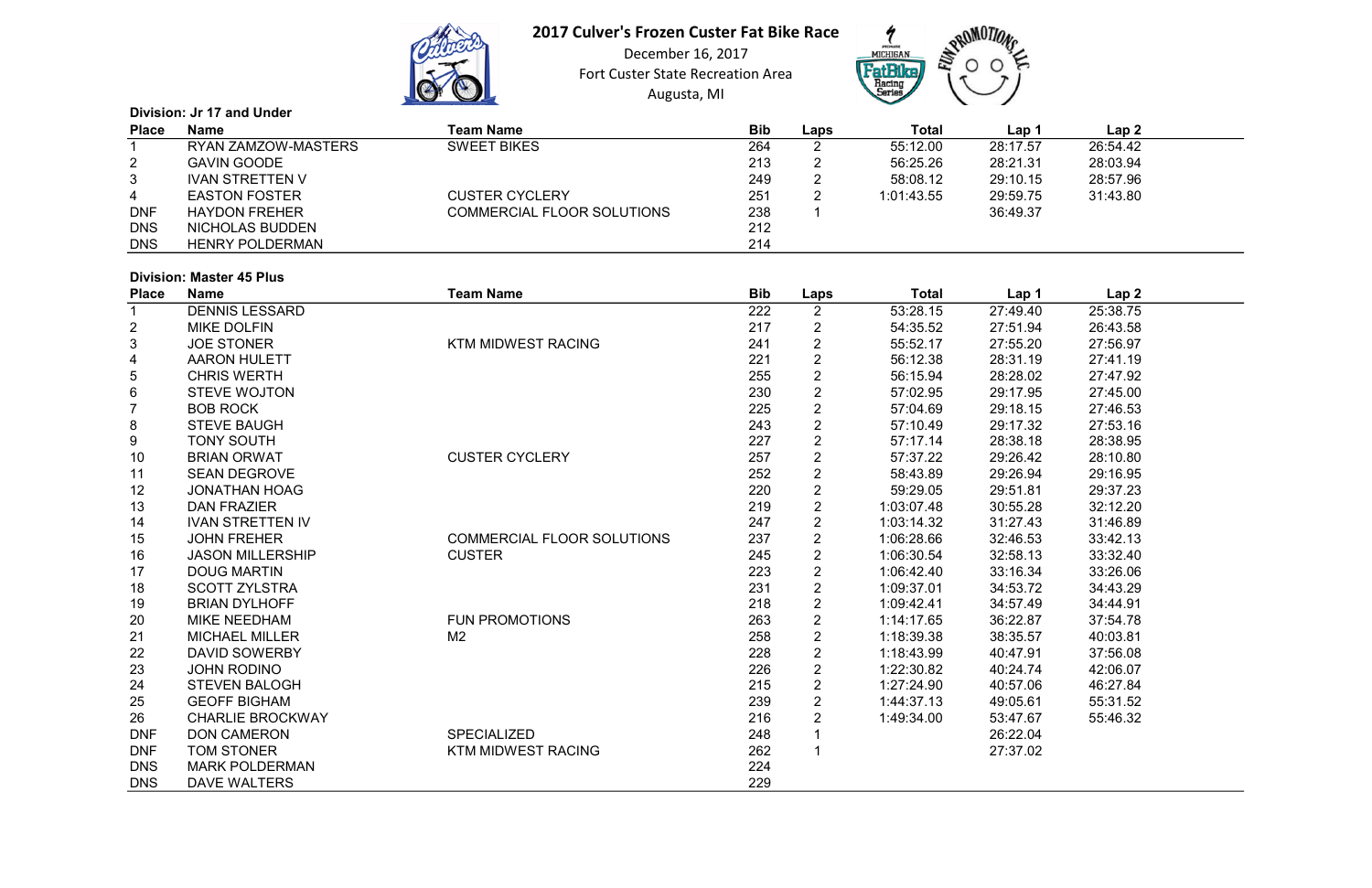

# 2017 Culver's Frozen Custer Fat Bike Race

Augusta, MI December 16, 2017 Fort Custer State Recreation Area



|                | Division: Jr 17 and Under  |                                   |            |      |            |          |          |  |  |  |
|----------------|----------------------------|-----------------------------------|------------|------|------------|----------|----------|--|--|--|
| <b>Place</b>   | <b>Name</b>                | <b>Team Name</b>                  | <b>Bib</b> | Laps | Total      | Lap 1    | Lap 2    |  |  |  |
|                | <b>RYAN ZAMZOW-MASTERS</b> | <b>SWEET BIKES</b>                | 264        |      | 55:12.00   | 28:17.57 | 26:54.42 |  |  |  |
| $\mathbf{2}$   | <b>GAVIN GOODE</b>         |                                   | 213        |      | 56:25.26   | 28:21.31 | 28:03.94 |  |  |  |
| 3 <sup>1</sup> | <b>IVAN STRETTEN V</b>     |                                   | 249        | റ    | 58:08.12   | 29:10.15 | 28:57.96 |  |  |  |
| 4              | <b>EASTON FOSTER</b>       | <b>CUSTER CYCLERY</b>             | 251        |      | 1:01:43.55 | 29:59.75 | 31:43.80 |  |  |  |
| <b>DNF</b>     | <b>HAYDON FREHER</b>       | <b>COMMERCIAL FLOOR SOLUTIONS</b> | 238        |      |            | 36:49.37 |          |  |  |  |
| <b>DNS</b>     | NICHOLAS BUDDEN            |                                   | 212        |      |            |          |          |  |  |  |
| <b>DNS</b>     | <b>HENRY POLDERMAN</b>     |                                   | 214        |      |            |          |          |  |  |  |

#### Division: Master 45 Plus

|              | <b>PIVISIOII. MASLEI 70 I IUS</b> |                                   |            |                |              |          |          |  |
|--------------|-----------------------------------|-----------------------------------|------------|----------------|--------------|----------|----------|--|
| <b>Place</b> | <b>Name</b>                       | <b>Team Name</b>                  | <b>Bib</b> | Laps           | <b>Total</b> | Lap 1    | Lap2     |  |
|              | <b>DENNIS LESSARD</b>             |                                   | 222        | $\overline{2}$ | 53:28.15     | 27:49.40 | 25:38.75 |  |
| 2            | <b>MIKE DOLFIN</b>                |                                   | 217        | $\overline{2}$ | 54:35.52     | 27:51.94 | 26:43.58 |  |
| 3            | <b>JOE STONER</b>                 | <b>KTM MIDWEST RACING</b>         | 241        | $\overline{2}$ | 55:52.17     | 27:55.20 | 27:56.97 |  |
|              | <b>AARON HULETT</b>               |                                   | 221        | $\overline{2}$ | 56:12.38     | 28:31.19 | 27:41.19 |  |
| 5            | <b>CHRIS WERTH</b>                |                                   | 255        | $\overline{2}$ | 56:15.94     | 28:28.02 | 27:47.92 |  |
| 6            | <b>STEVE WOJTON</b>               |                                   | 230        | $\overline{2}$ | 57:02.95     | 29:17.95 | 27:45.00 |  |
|              | <b>BOB ROCK</b>                   |                                   | 225        | $\overline{2}$ | 57:04.69     | 29:18.15 | 27:46.53 |  |
| 8            | <b>STEVE BAUGH</b>                |                                   | 243        | $\overline{2}$ | 57:10.49     | 29:17.32 | 27:53.16 |  |
| 9            | <b>TONY SOUTH</b>                 |                                   | 227        | $\overline{2}$ | 57:17.14     | 28:38.18 | 28:38.95 |  |
| 10           | <b>BRIAN ORWAT</b>                | <b>CUSTER CYCLERY</b>             | 257        | $\overline{2}$ | 57:37.22     | 29:26.42 | 28:10.80 |  |
| 11           | <b>SEAN DEGROVE</b>               |                                   | 252        | $\overline{2}$ | 58:43.89     | 29:26.94 | 29:16.95 |  |
| 12           | <b>JONATHAN HOAG</b>              |                                   | 220        | $\overline{2}$ | 59:29.05     | 29:51.81 | 29:37.23 |  |
| 13           | <b>DAN FRAZIER</b>                |                                   | 219        | $\overline{2}$ | 1:03:07.48   | 30:55.28 | 32:12.20 |  |
| 14           | <b>IVAN STRETTEN IV</b>           |                                   | 247        | $\overline{2}$ | 1:03:14.32   | 31:27.43 | 31:46.89 |  |
| 15           | <b>JOHN FREHER</b>                | <b>COMMERCIAL FLOOR SOLUTIONS</b> | 237        | $\overline{2}$ | 1:06:28.66   | 32:46.53 | 33:42.13 |  |
| 16           | <b>JASON MILLERSHIP</b>           | <b>CUSTER</b>                     | 245        | $\overline{2}$ | 1:06:30.54   | 32:58.13 | 33:32.40 |  |
| 17           | <b>DOUG MARTIN</b>                |                                   | 223        | $\overline{2}$ | 1:06:42.40   | 33:16.34 | 33:26.06 |  |
| 18           | <b>SCOTT ZYLSTRA</b>              |                                   | 231        | $\overline{2}$ | 1:09:37.01   | 34:53.72 | 34:43.29 |  |
| 19           | <b>BRIAN DYLHOFF</b>              |                                   | 218        | $\overline{2}$ | 1:09:42.41   | 34:57.49 | 34:44.91 |  |
| 20           | <b>MIKE NEEDHAM</b>               | <b>FUN PROMOTIONS</b>             | 263        | $\overline{2}$ | 1:14:17.65   | 36:22.87 | 37:54.78 |  |
| 21           | <b>MICHAEL MILLER</b>             | M <sub>2</sub>                    | 258        | $\overline{2}$ | 1:18:39.38   | 38:35.57 | 40:03.81 |  |
| 22           | <b>DAVID SOWERBY</b>              |                                   | 228        | $\overline{2}$ | 1:18:43.99   | 40:47.91 | 37:56.08 |  |
| 23           | <b>JOHN RODINO</b>                |                                   | 226        | $\overline{2}$ | 1:22:30.82   | 40:24.74 | 42:06.07 |  |
| 24           | <b>STEVEN BALOGH</b>              |                                   | 215        | $\overline{2}$ | 1:27:24.90   | 40:57.06 | 46:27.84 |  |
| 25           | <b>GEOFF BIGHAM</b>               |                                   | 239        | $\overline{2}$ | 1:44:37.13   | 49:05.61 | 55:31.52 |  |
| 26           | <b>CHARLIE BROCKWAY</b>           |                                   | 216        | 2              | 1:49:34.00   | 53:47.67 | 55:46.32 |  |
| <b>DNF</b>   | <b>DON CAMERON</b>                | <b>SPECIALIZED</b>                | 248        |                |              | 26:22.04 |          |  |
| <b>DNF</b>   | <b>TOM STONER</b>                 | <b>KTM MIDWEST RACING</b>         | 262        |                |              | 27:37.02 |          |  |
| <b>DNS</b>   | <b>MARK POLDERMAN</b>             |                                   | 224        |                |              |          |          |  |
| <b>DNS</b>   | <b>DAVE WALTERS</b>               |                                   | 229        |                |              |          |          |  |